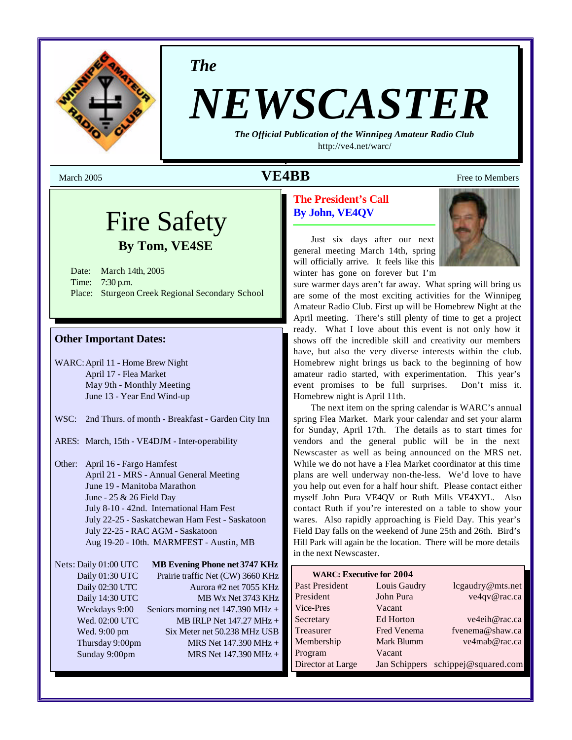

*The*

# *NEWSCASTER*

*The Official Publication of the Winnipeg Amateur Radio Club* <http://ve4.net/warc/>

# Fire Safety **By Tom, VE4SE**

Date: March 14th, 2005 Time: 7:30 p.m. Place: Sturgeon Creek Regional Secondary School

## **Other Important Dates:**

WARC:April 11 - Home Brew Night April 17 - Flea Market May 9th - Monthly Meeting June 13 - Year End Wind-up

- WSC: 2nd Thurs. of month Breakfast Garden City Inn
- ARES: March, 15th VE4DJM Inter-operability
- Other: April 16 Fargo Hamfest April 21 - MRS - Annual General Meeting June 19 - Manitoba Marathon June - 25 & 26 Field Day July 8-10 - 42nd. International Ham Fest July 22-25 - Saskatchewan Ham Fest - Saskatoon July 22-25 - RAC AGM - Saskatoon Aug 19-20 - 10th. MARMFEST - Austin, MB

| Nets: Daily 01:00 UTC | <b>MB Evening Phone net 3747 KHz</b>        |
|-----------------------|---------------------------------------------|
| Daily 01:30 UTC       | Prairie traffic Net (CW) 3660 KHz           |
| Daily 02:30 UTC       | Aurora #2 net 7055 KHz                      |
| Daily 14:30 UTC       | MB Wx Net 3743 KHz                          |
| Weekdays 9:00         | Seniors morning net $147.390 \text{ MHz} +$ |
| Wed. 02:00 UTC        | MB IRLP Net 147.27 MHz +                    |
| Wed. 9:00 pm          | Six Meter net 50.238 MHz USB                |
| Thursday 9:00pm       | MRS Net 147.390 MHz +                       |
| Sunday 9:00pm         | MRS Net 147.390 MHz +                       |

## **The President's Call By John, VE4QV**

Just six days after our next general meeting March 14th, spring will officially arrive. It feels like this winter has gone on forever but I'm



sure warmer days aren't far away. What spring will bring us are some of the most exciting activities for the Winnipeg Amateur Radio Club. First up will be Homebrew Night at the April meeting. There's still plenty of time to get a project ready. What I love about this event is not only how it shows off the incredible skill and creativity our members have, but also the very diverse interests within the club. Homebrew night brings us back to the beginning of how amateur radio started, with experimentation. This year's event promises to be full surprises. Don't miss it. Homebrew night is April 11th.

The next item on the spring calendar is WARC's annual spring Flea Market. Mark your calendar and set your alarm for Sunday, April 17th. The details as to start times for vendors and the general public will be in the next Newscaster as well as being announced on the MRS net. While we do not have a Flea Market coordinator at this time plans are well underway non-the-less. We'd love to have you help out even for a half hour shift. Please contact either myself John Pura VE4QV or Ruth Mills VE4XYL. Also contact Ruth if you're interested on a table to show your wares. Also rapidly approaching is Field Day. This year's Field Day falls on the weekend of June 25th and 26th. Bird's Hill Park will again be the location. There will be more details in the next Newscaster.

| <b>WARC: Executive for 2004</b> |              |                                    |
|---------------------------------|--------------|------------------------------------|
| Past President                  | Louis Gaudry | lcgaudry@mts.net                   |
| President                       | John Pura    | ve4qv@rac.ca                       |
| Vice-Pres                       | Vacant       |                                    |
| Secretary                       | Ed Horton    | ve4eih@rac.ca                      |
| Treasurer                       | Fred Venema  | fvenema@shaw.ca                    |
| Membership                      | Mark Blumm   | ve4mab@rac.ca                      |
| Program                         | Vacant       |                                    |
| Director at Large               |              | Jan Schippers schippej@squared.com |

March 2005 **VE4BB** Free to Members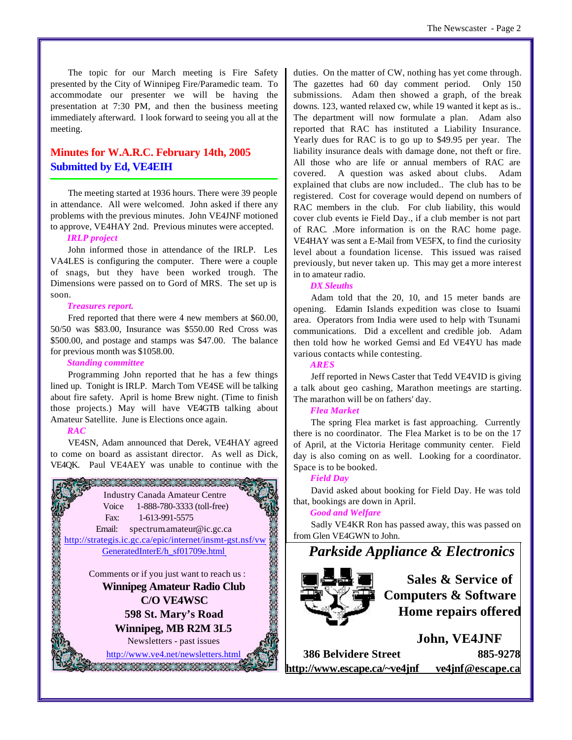The topic for our March meeting is Fire Safety presented by the City of Winnipeg Fire/Paramedic team. To accommodate our presenter we will be having the presentation at 7:30 PM, and then the business meeting immediately afterward. I look forward to seeing you all at the meeting.

## **Minutes for W.A.R.C. February 14th, 2005 Submitted by Ed, VE4EIH**

The meeting started at 1936 hours. There were 39 people in attendance. All were welcomed. John asked if there any problems with the previous minutes. John VE4JNF motioned to approve, VE4HAY 2nd. Previous minutes were accepted.

## *IRLP project*

John informed those in attendance of the IRLP. Les VA4LES is configuring the computer. There were a couple of snags, but they have been worked trough. The Dimensions were passed on to Gord of MRS. The set up is soon.

#### *Treasures report.*

Fred reported that there were 4 new members at \$60.00, 50/50 was \$83.00, Insurance was \$550.00 Red Cross was \$500.00, and postage and stamps was \$47.00. The balance for previous month was \$1058.00.

#### *Standing committee*

Programming John reported that he has a few things lined up. Tonight is IRLP. March Tom VE4SE will be talking about fire safety. April is home Brew night. (Time to finish those projects.) May will have VE4GTB talking about Amateur Satellite. June is Elections once again.

#### *RAC*

VE4SN, Adam announced that Derek, VE4HAY agreed to come on board as assistant director. As well as Dick, VE4QK. Paul VE4AEY was unable to continue with the



duties. On the matter of CW, nothing has yet come through. The gazettes had 60 day comment period. Only 150 submissions. Adam then showed a graph, of the break downs. 123, wanted relaxed cw, while 19 wanted it kept as is.. The department will now formulate a plan. Adam also reported that RAC has instituted a Liability Insurance. Yearly dues for RAC is to go up to \$49.95 per year. The liability insurance deals with damage done, not theft or fire. All those who are life or annual members of RAC are covered. A question was asked about clubs. Adam explained that clubs are now included.. The club has to be registered. Cost for coverage would depend on numbers of RAC members in the club. For club liability, this would cover club events ie Field Day., if a club member is not part of RAC. .More information is on the RAC home page. VE4HAY was sent a E-Mail from VE5FX, to find the curiosity level about a foundation license. This issued was raised previously, but never taken up. This may get a more interest in to amateur radio.

#### *DX Sleuths*

Adam told that the 20, 10, and 15 meter bands are opening. Edamin Islands expedition was close to Isuami area. Operators from India were used to help with Tsunami communications. Did a excellent and credible job. Adam then told how he worked Gemsi and Ed VE4YU has made various contacts while contesting.

#### *ARES*

Jeff reported in News Caster that Tedd VE4VID is giving a talk about geo cashing, Marathon meetings are starting. The marathon will be on fathers' day.

#### *Flea Market*

The spring Flea market is fast approaching. Currently there is no coordinator. The Flea Market is to be on the 17 of April, at the Victoria Heritage community center. Field day is also coming on as well. Looking for a coordinator. Space is to be booked.

#### *Field Day*

David asked about booking for Field Day. He was told that, bookings are down in April.

#### *Good and Welfare*

Sadly VE4KR Ron has passed away, this was passed on from Glen VE4GWN to John.

## *Parkside Appliance & Electronics*



**Sales & Service of Computers & Software Home repairs offered**

**John, VE4JNF 386 Belvidere Street 885-9278 <http://www.escape.ca/~ve4jnf> ve4jnf@escape.ca**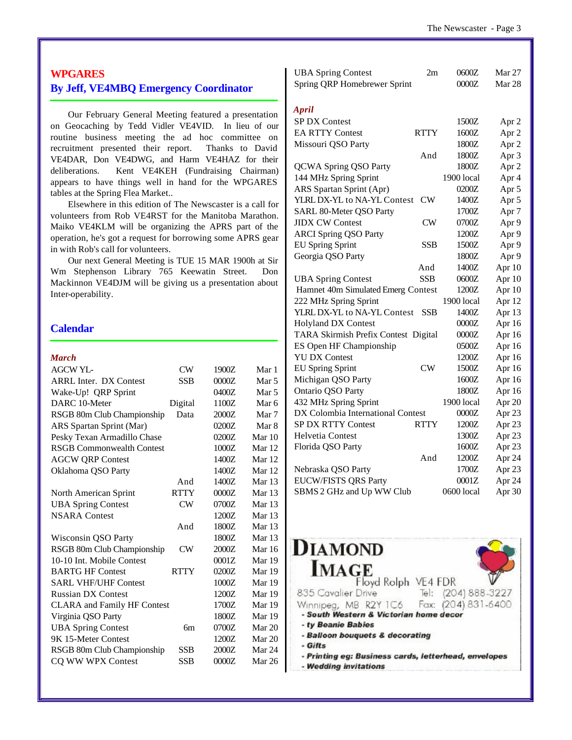## **WPGARES By Jeff, VE4MBQ Emergency Coordinator**

Our February General Meeting featured a presentation on Geocaching by Tedd Vidler VE4VID. In lieu of our routine business meeting the ad hoc committee on recruitment presented their report. Thanks to David VE4DAR, Don VE4DWG, and Harm VE4HAZ for their deliberations. Kent VE4KEH (Fundraising Chairman) appears to have things well in hand for the WPGARES tables at the Spring Flea Market..

Elsewhere in this edition of The Newscaster is a call for volunteers from Rob VE4RST for the Manitoba Marathon. Maiko VE4KLM will be organizing the APRS part of the operation, he's got a request for borrowing some APRS gear in with Rob's call for volunteers.

Our next General Meeting is TUE 15 MAR 1900h at Sir Wm Stephenson Library 765 Keewatin Street. Don Mackinnon VE4DJM will be giving us a presentation about Inter-operability.

## **Calendar**

#### *March*

| <b>AGCW YL-</b>                    | CW          | 1900Z | Mar 1            |
|------------------------------------|-------------|-------|------------------|
| <b>ARRL Inter. DX Contest</b>      | <b>SSB</b>  | 0000Z | Mar <sub>5</sub> |
| Wake-Up! QRP Sprint                |             | 0400Z | Mar 5            |
| DARC 10-Meter                      | Digital     | 1100Z | Mar 6            |
| RSGB 80m Club Championship         | Data        | 2000Z | Mar 7            |
| ARS Spartan Sprint (Mar)           |             | 0200Z | Mar 8            |
| Pesky Texan Armadillo Chase        |             | 0200Z | Mar $10$         |
| <b>RSGB Commonwealth Contest</b>   |             | 1000Z | Mar 12           |
| <b>AGCW QRP Contest</b>            |             | 1400Z | Mar 12           |
| Oklahoma QSO Party                 |             | 1400Z | Mar 12           |
|                                    | And         | 1400Z | Mar $13$         |
| North American Sprint              | <b>RTTY</b> | 0000Z | Mar $13$         |
| <b>UBA Spring Contest</b>          | CW          | 0700Z | Mar $13$         |
| <b>NSARA</b> Contest               |             | 1200Z | Mar 13           |
|                                    | And         | 1800Z | Mar $13$         |
| Wisconsin QSO Party                |             | 1800Z | Mar $13$         |
| RSGB 80m Club Championship         | CW          | 2000Z | <b>Mar</b> 16    |
| 10-10 Int. Mobile Contest          |             | 0001Z | Mar 19           |
| <b>BARTG HF Contest</b>            | <b>RTTY</b> | 0200Z | Mar 19           |
| <b>SARL VHF/UHF Contest</b>        |             | 1000Z | Mar 19           |
| <b>Russian DX Contest</b>          |             | 1200Z | Mar 19           |
| <b>CLARA</b> and Family HF Contest |             | 1700Z | Mar 19           |
| Virginia QSO Party                 |             | 1800Z | Mar 19           |
| <b>UBA Spring Contest</b>          | 6m          | 0700Z | Mar 20           |
| 9K 15-Meter Contest                |             | 1200Z | Mar 20           |
| RSGB 80m Club Championship         | <b>SSB</b>  | 2000Z | Mar 24           |
| CQ WW WPX Contest                  | SSB         | 0000Z | <b>Mar 26</b>    |
|                                    |             |       |                  |

| <b>UBA Spring Contest</b><br>Spring QRP Homebrewer Sprint | 2m          | 0600Z<br>0000Z | Mar 27<br>Mar 28 |
|-----------------------------------------------------------|-------------|----------------|------------------|
|                                                           |             |                |                  |
| <b>April</b>                                              |             |                |                  |
| <b>SP DX Contest</b>                                      |             | 1500Z          | Apr <sub>2</sub> |
| <b>EA RTTY Contest</b>                                    | <b>RTTY</b> | 1600Z          | Apr <sub>2</sub> |
| Missouri QSO Party                                        |             | 1800Z          | Apr 2            |
|                                                           | And         | 1800Z          | Apr 3            |
| <b>QCWA Spring QSO Party</b>                              |             | 1800Z          | Apr 2            |
| 144 MHz Spring Sprint                                     |             | 1900 local     | Apr 4            |
| ARS Spartan Sprint (Apr)                                  |             | 0200Z          | Apr 5            |
| YLRL DX-YL to NA-YL Contest                               | CW          | 1400Z          | Apr 5            |
| SARL 80-Meter QSO Party                                   |             | 1700Z          | Apr <sub>7</sub> |
| <b>JIDX CW Contest</b>                                    | CW          | 0700Z          | Apr 9            |
| <b>ARCI Spring QSO Party</b>                              |             | 1200Z          | Apr 9            |
| <b>EU Spring Sprint</b>                                   | SSB         | 1500Z          | Apr 9            |
| Georgia QSO Party                                         |             | 1800Z          | Apr 9            |
|                                                           | And         | 1400Z          | Apr 10           |
| <b>UBA Spring Contest</b>                                 | <b>SSB</b>  | 0600Z          | Apr 10           |
| Hamnet 40m Simulated Emerg Contest                        |             | 1200Z          | Apr 10           |
| 222 MHz Spring Sprint                                     |             | 1900 local     | Apr 12           |
| YLRL DX-YL to NA-YL Contest                               | <b>SSB</b>  | 1400Z          | Apr 13           |
| <b>Holyland DX Contest</b>                                |             | 0000Z          | Apr 16           |
| TARA Skirmish Prefix Contest Digital                      |             | 0000Z          | Apr 16           |
| ES Open HF Championship                                   |             | 0500Z          | Apr 16           |
| <b>YU DX Contest</b>                                      |             | 1200Z          | Apr 16           |
| <b>EU Spring Sprint</b>                                   | CW          | 1500Z          | Apr 16           |
| Michigan QSO Party                                        |             | 1600Z          | Apr 16           |
| Ontario QSO Party                                         |             | 1800Z          | Apr 16           |
| 432 MHz Spring Sprint                                     |             | 1900 local     | Apr 20           |
| DX Colombia International Contest                         |             | 0000Z          | Apr 23           |
| SP DX RTTY Contest                                        | <b>RTTY</b> | 1200Z          | Apr 23           |
| <b>Helvetia Contest</b>                                   |             | 1300Z          | Apr 23           |
| Florida QSO Party                                         |             | 1600Z          | Apr 23           |
|                                                           | And         | 1200Z          | Apr 24           |
| Nebraska QSO Party                                        |             | 1700Z          | Apr 23           |
| <b>EUCW/FISTS QRS Party</b>                               |             | 0001Z          | Apr 24           |
| SBMS 2 GHz and Up WW Club                                 |             | 0600 local     | Apr 30           |

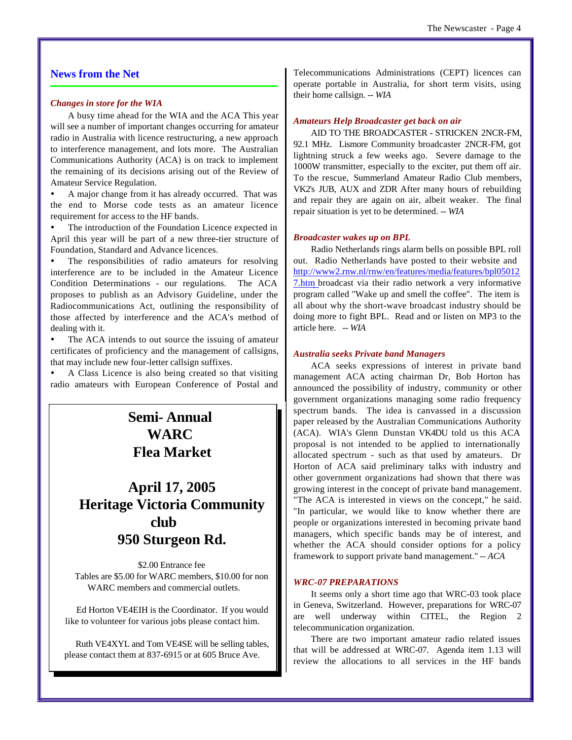## **News from the Net**

#### *Changes in store for the WIA*

A busy time ahead for the WIA and the ACA This year will see a number of important changes occurring for amateur radio in Australia with licence restructuring, a new approach to interference management, and lots more. The Australian Communications Authority (ACA) is on track to implement the remaining of its decisions arising out of the Review of Amateur Service Regulation.

A major change from it has already occurred. That was the end to Morse code tests as an amateur licence requirement for access to the HF bands.

The introduction of the Foundation Licence expected in April this year will be part of a new three-tier structure of Foundation, Standard and Advance licences.

The responsibilities of radio amateurs for resolving interference are to be included in the Amateur Licence Condition Determinations - our regulations. The ACA proposes to publish as an Advisory Guideline, under the Radiocommunications Act, outlining the responsibility of those affected by interference and the ACA's method of dealing with it.

The ACA intends to out source the issuing of amateur certificates of proficiency and the management of callsigns, that may include new four-letter callsign suffixes.

ü A Class Licence is also being created so that visiting radio amateurs with European Conference of Postal and

# **Semi- Annual WARC Flea Market**

# **April 17, 2005 Heritage Victoria Community club 950 Sturgeon Rd.**

\$2.00 Entrance fee Tables are \$5.00 for WARC members, \$10.00 for non WARC members and commercial outlets.

 Ed Horton VE4EIH is the Coordinator. If you would like to volunteer for various jobs please contact him.

Ruth VE4XYL and Tom VE4SE will be selling tables, please contact them at 837-6915 or at 605 Bruce Ave.

Telecommunications Administrations (CEPT) licences can operate portable in Australia, for short term visits, using their home callsign. *-- WIA*

#### *Amateurs Help Broadcaster get back on air*

AID TO THE BROADCASTER - STRICKEN 2NCR-FM, 92.1 MHz. Lismore Community broadcaster 2NCR-FM, got lightning struck a few weeks ago. Severe damage to the 1000W transmitter, especially to the exciter, put them off air. To the rescue, Summerland Amateur Radio Club members, VK2's JUB, AUX and ZDR After many hours of rebuilding and repair they are again on air, albeit weaker. The final repair situation is yet to be determined. *-- WIA*

#### *Broadcaster wakes up on BPL*

Radio Netherlands rings alarm bells on possible BPL roll out. Radio Netherlands have posted to their website and <http://www2.rnw.nl/rnw/en/features/media/features/bpl05012> 7.htm broadcast via their radio network a very informative program called "Wake up and smell the coffee". The item is all about why the short-wave broadcast industry should be doing more to fight BPL. Read and or listen on MP3 to the article here. *-- WIA*

#### *Australia seeks Private band Managers*

ACA seeks expressions of interest in private band management ACA acting chairman Dr, Bob Horton has announced the possibility of industry, community or other government organizations managing some radio frequency spectrum bands. The idea is canvassed in a discussion paper released by the Australian Communications Authority (ACA). WIA's Glenn Dunstan VK4DU told us this ACA proposal is not intended to be applied to internationally allocated spectrum - such as that used by amateurs. Dr Horton of ACA said preliminary talks with industry and other government organizations had shown that there was growing interest in the concept of private band management. "The ACA is interested in views on the concept," he said. "In particular, we would like to know whether there are people or organizations interested in becoming private band managers, which specific bands may be of interest, and whether the ACA should consider options for a policy framework to support private band management." *-- ACA*

#### *WRC-07 PREPARATIONS*

It seems only a short time ago that WRC-03 took place in Geneva, Switzerland. However, preparations for WRC-07 are well underway within CITEL, the Region 2 telecommunication organization.

There are two important amateur radio related issues that will be addressed at WRC-07. Agenda item 1.13 will review the allocations to all services in the HF bands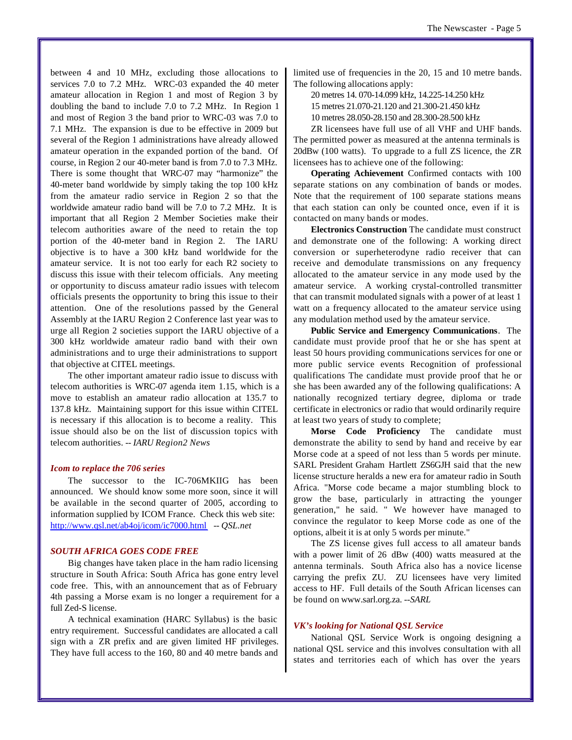between 4 and 10 MHz, excluding those allocations to services 7.0 to 7.2 MHz. WRC-03 expanded the 40 meter amateur allocation in Region 1 and most of Region 3 by doubling the band to include 7.0 to 7.2 MHz. In Region 1 and most of Region 3 the band prior to WRC-03 was 7.0 to 7.1 MHz. The expansion is due to be effective in 2009 but several of the Region 1 administrations have already allowed amateur operation in the expanded portion of the band. Of course, in Region 2 our 40-meter band is from 7.0 to 7.3 MHz. There is some thought that WRC-07 may "harmonize" the 40-meter band worldwide by simply taking the top 100 kHz from the amateur radio service in Region 2 so that the worldwide amateur radio band will be 7.0 to 7.2 MHz. It is important that all Region 2 Member Societies make their telecom authorities aware of the need to retain the top portion of the 40-meter band in Region 2. The IARU objective is to have a 300 kHz band worldwide for the amateur service. It is not too early for each R2 society to discuss this issue with their telecom officials. Any meeting or opportunity to discuss amateur radio issues with telecom officials presents the opportunity to bring this issue to their attention. One of the resolutions passed by the General Assembly at the IARU Region 2 Conference last year was to urge all Region 2 societies support the IARU objective of a 300 kHz worldwide amateur radio band with their own administrations and to urge their administrations to support that objective at CITEL meetings.

The other important amateur radio issue to discuss with telecom authorities is WRC-07 agenda item 1.15, which is a move to establish an amateur radio allocation at 135.7 to 137.8 kHz. Maintaining support for this issue within CITEL is necessary if this allocation is to become a reality. This issue should also be on the list of discussion topics with telecom authorities. *-- IARU Region2 News*

#### *Icom to replace the 706 series*

The successor to the IC-706MKIIG has been announced. We should know some more soon, since it will be available in the second quarter of 2005, according to information supplied by ICOM France. Check this web site: <http://www.qsl.net/ab4oj/icom/ic7000.html> *-- QSL.net*

#### *SOUTH AFRICA GOES CODE FREE*

Big changes have taken place in the ham radio licensing structure in South Africa: South Africa has gone entry level code free. This, with an announcement that as of February 4th passing a Morse exam is no longer a requirement for a full Zed-S license.

A technical examination (HARC Syllabus) is the basic entry requirement. Successful candidates are allocated a call sign with a ZR prefix and are given limited HF privileges. They have full access to the 160, 80 and 40 metre bands and

limited use of frequencies in the 20, 15 and 10 metre bands. The following allocations apply:

20 metres 14. 070-14.099 kHz, 14.225-14.250 kHz

15 metres 21.070-21.120 and 21.300-21.450 kHz

10 metres 28.050-28.150 and 28.300-28.500 kHz

ZR licensees have full use of all VHF and UHF bands. The permitted power as measured at the antenna terminals is 20dBw (100 watts). To upgrade to a full ZS licence, the ZR licensees has to achieve one of the following:

**Operating Achievement** Confirmed contacts with 100 separate stations on any combination of bands or modes. Note that the requirement of 100 separate stations means that each station can only be counted once, even if it is contacted on many bands or modes.

**Electronics Construction** The candidate must construct and demonstrate one of the following: A working direct conversion or superheterodyne radio receiver that can receive and demodulate transmissions on any frequency allocated to the amateur service in any mode used by the amateur service. A working crystal-controlled transmitter that can transmit modulated signals with a power of at least 1 watt on a frequency allocated to the amateur service using any modulation method used by the amateur service.

**Public Service and Emergency Communications**. The candidate must provide proof that he or she has spent at least 50 hours providing communications services for one or more public service events Recognition of professional qualifications The candidate must provide proof that he or she has been awarded any of the following qualifications: A nationally recognized tertiary degree, diploma or trade certificate in electronics or radio that would ordinarily require at least two years of study to complete;

**Morse Code Proficiency** The candidate must demonstrate the ability to send by hand and receive by ear Morse code at a speed of not less than 5 words per minute. SARL President Graham Hartlett ZS6GJH said that the new license structure heralds a new era for amateur radio in South Africa. "Morse code became a major stumbling block to grow the base, particularly in attracting the younger generation," he said. " We however have managed to convince the regulator to keep Morse code as one of the options, albeit it is at only 5 words per minute."

The ZS license gives full access to all amateur bands with a power limit of 26 dBw (400) watts measured at the antenna terminals. South Africa also has a novice license carrying the prefix ZU. ZU licensees have very limited access to HF. Full details of the South African licenses can be found on www.sarl.org.za. *--SARL*

#### *VK's looking for National QSL Service*

National QSL Service Work is ongoing designing a national QSL service and this involves consultation with all states and territories each of which has over the years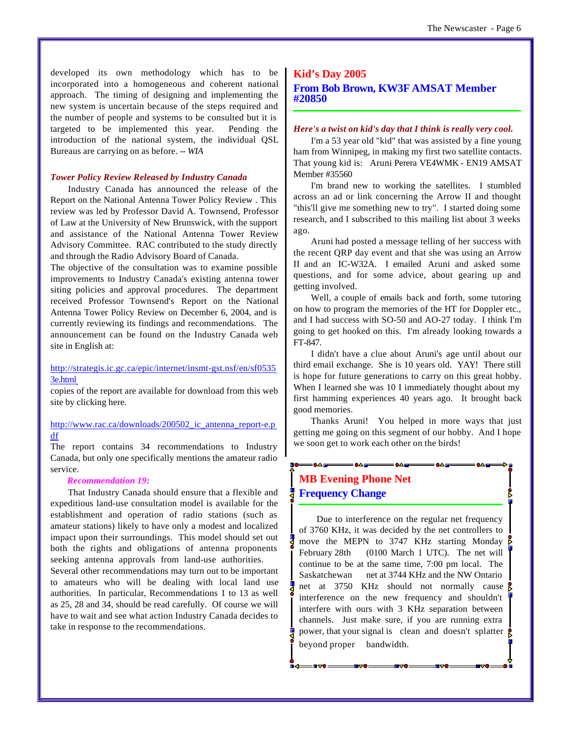developed its own methodology which has to be incorporated into a homogeneous and coherent national approach. The timing of designing and implementing the new system is uncertain because of the steps required and the number of people and systems to be consulted but it is targeted to be implemented this year. Pending the introduction of the national system, the individual QSL Bureaus are carrying on as before. *-- WIA*

#### *Tower Policy Review Released by Industry Canada*

Industry Canada has announced the release of the Report on the National Antenna Tower Policy Review . This review was led by Professor David A. Townsend, Professor of Law at the University of New Brunswick, with the support and assistance of the National Antenna Tower Review Advisory Committee. RAC contributed to the study directly and through the Radio Advisory Board of Canada.

The objective of the consultation was to examine possible improvements to Industry Canada's existing antenna tower siting policies and approval procedures. The department received Professor Townsend's Report on the National Antenna Tower Policy Review on December 6, 2004, and is currently reviewing its findings and recommendations. The announcement can be found on the Industry Canada web site in English at:

#### <http://strategis.ic.gc.ca/epic/internet/insmt-gst.nsf/en/sf0535> 3e.html

copies of the report are available for download from this web site by clicking here.

## http://www.rac.ca/downloads/200502 ic antenna report-e.p df

The report contains 34 recommendations to Industry Canada, but only one specifically mentions the amateur radio service.

#### *Recommendation 19:*

That Industry Canada should ensure that a flexible and expeditious land-use consultation model is available for the establishment and operation of radio stations (such as amateur stations) likely to have only a modest and localized impact upon their surroundings. This model should set out both the rights and obligations of antenna proponents seeking antenna approvals from land-use authorities.

Several other recommendations may turn out to be important to amateurs who will be dealing with local land use authorities. In particular, Recommendations 1 to 13 as well as 25, 28 and 34, should be read carefully. Of course we will have to wait and see what action Industry Canada decides to take in response to the recommendations.

## **Kid's Day 2005 From Bob Brown, KW3F AMSAT Member #20850**

#### *Here's a twist on kid's day that I think is really very cool.*

I'm a 53 year old "kid" that was assisted by a fine young ham from Winnipeg, in making my first two satellite contacts. That young kid is: Aruni Perera VE4WMK - EN19 AMSAT Member #35560

I'm brand new to working the satellites. I stumbled across an ad or link concerning the Arrow II and thought "this'll give me something new to try". I started doing some research, and I subscribed to this mailing list about 3 weeks ago.

Aruni had posted a message telling of her success with the recent QRP day event and that she was using an Arrow II and an IC-W32A. I emailed Aruni and asked some questions, and for some advice, about gearing up and getting involved.

Well, a couple of emails back and forth, some tutoring on how to program the memories of the HT for Doppler etc., and I had success with SO-50 and AO-27 today. I think I'm going to get hooked on this. I'm already looking towards a FT-847.

I didn't have a clue about Aruni's age until about our third email exchange. She is 10 years old. YAY! There still is hope for future generations to carry on this great hobby. When I learned she was 10 I immediately thought about my first hamming experiences 40 years ago. It brought back good memories.

Thanks Aruni! You helped in more ways that just getting me going on this segment of our hobby. And I hope we soon get to work each other on the birds!

 $= 0 \triangle$  of  $=$ 

 $\bullet \triangle$  names and  $\bullet \triangle$  names and  $\bullet \triangle$ 

## **MB Evening Phone Net Frequency Change**

Due to interference on the regular net frequency of 3760 KHz, it was decided by the net controllers to move the MEPN to 3747 KHz starting Monday February 28th (0100 March 1 UTC). The net will continue to be at the same time, 7:00 pm local. The Saskatchewan net at 3744 KHz and the NW Ontario net at 3750 KHz should not normally cause interference on the new frequency and shouldn't interfere with ours with 3 KHz separation between channels. Just make sure, if you are running extra power, that your signal is clean and doesn't splatter beyond proper bandwidth.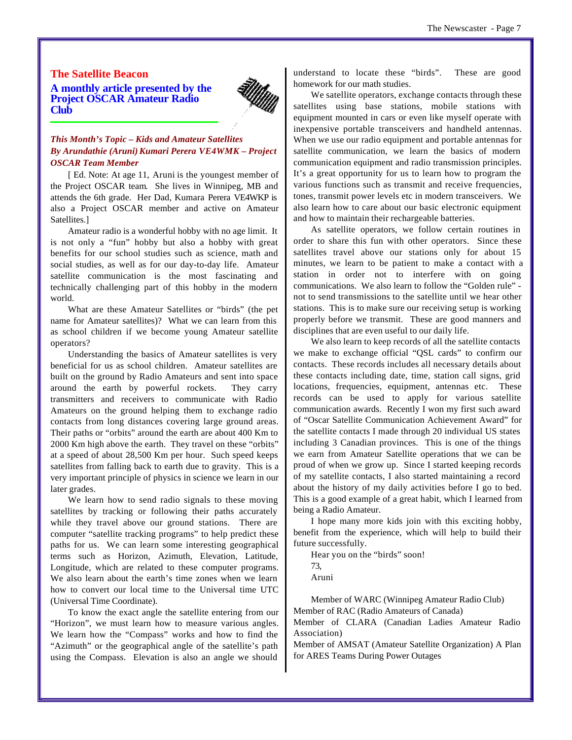## **The Satellite Beacon A monthly article presented by the Project OSCAR Amateur Radio Club**



## *This Month's Topic – Kids and Amateur Satellites By Arundathie (Aruni)Kumari Perera VE4WMK – Project OSCAR Team Member*

[ Ed. Note: At age 11, Aruni is the youngest member of the Project OSCAR team. She lives in Winnipeg, MB and attends the 6th grade. Her Dad, Kumara Perera VE4WKP is also a Project OSCAR member and active on Amateur Satellites.]

Amateur radio is a wonderful hobby with no age limit. It is not only a "fun" hobby but also a hobby with great benefits for our school studies such as science, math and social studies, as well as for our day-to-day life. Amateur satellite communication is the most fascinating and technically challenging part of this hobby in the modern world.

What are these Amateur Satellites or "birds" (the pet name for Amateur satellites)? What we can learn from this as school children if we become young Amateur satellite operators?

Understanding the basics of Amateur satellites is very beneficial for us as school children. Amateur satellites are built on the ground by Radio Amateurs and sent into space around the earth by powerful rockets. They carry transmitters and receivers to communicate with Radio Amateurs on the ground helping them to exchange radio contacts from long distances covering large ground areas. Their paths or "orbits" around the earth are about 400 Km to 2000 Km high above the earth. They travel on these "orbits" at a speed of about 28,500 Km per hour. Such speed keeps satellites from falling back to earth due to gravity. This is a very important principle of physics in science we learn in our later grades.

We learn how to send radio signals to these moving satellites by tracking or following their paths accurately while they travel above our ground stations. There are computer "satellite tracking programs" to help predict these paths for us. We can learn some interesting geographical terms such as Horizon, Azimuth, Elevation, Latitude, Longitude, which are related to these computer programs. We also learn about the earth's time zones when we learn how to convert our local time to the Universal time UTC (Universal Time Coordinate).

To know the exact angle the satellite entering from our "Horizon", we must learn how to measure various angles. We learn how the "Compass" works and how to find the "Azimuth" or the geographical angle of the satellite's path using the Compass. Elevation is also an angle we should

understand to locate these "birds". These are good homework for our math studies.

We satellite operators, exchange contacts through these satellites using base stations, mobile stations with equipment mounted in cars or even like myself operate with inexpensive portable transceivers and handheld antennas. When we use our radio equipment and portable antennas for satellite communication, we learn the basics of modern communication equipment and radio transmission principles. It's a great opportunity for us to learn how to program the various functions such as transmit and receive frequencies, tones, transmit power levels etc in modern transceivers. We also learn how to care about our basic electronic equipment and how to maintain their rechargeable batteries.

As satellite operators, we follow certain routines in order to share this fun with other operators. Since these satellites travel above our stations only for about 15 minutes, we learn to be patient to make a contact with a station in order not to interfere with on going communications. We also learn to follow the "Golden rule" not to send transmissions to the satellite until we hear other stations. This is to make sure our receiving setup is working properly before we transmit. These are good manners and disciplines that are even useful to our daily life.

We also learn to keep records of all the satellite contacts we make to exchange official "QSL cards" to confirm our contacts. These records includes all necessary details about these contacts including date, time, station call signs, grid locations, frequencies, equipment, antennas etc. These records can be used to apply for various satellite communication awards. Recently I won my first such award of "Oscar Satellite Communication Achievement Award" for the satellite contacts I made through 20 individual US states including 3 Canadian provinces. This is one of the things we earn from Amateur Satellite operations that we can be proud of when we grow up. Since I started keeping records of my satellite contacts, I also started maintaining a record about the history of my daily activities before I go to bed. This is a good example of a great habit, which I learned from being a Radio Amateur.

I hope many more kids join with this exciting hobby, benefit from the experience, which will help to build their future successfully.

Hear you on the "birds" soon! 73,

Aruni

Member of WARC (Winnipeg Amateur Radio Club) Member of RAC (Radio Amateurs of Canada) Member of CLARA (Canadian Ladies Amateur Radio Association)

Member of AMSAT (Amateur Satellite Organization) A Plan for ARES Teams During Power Outages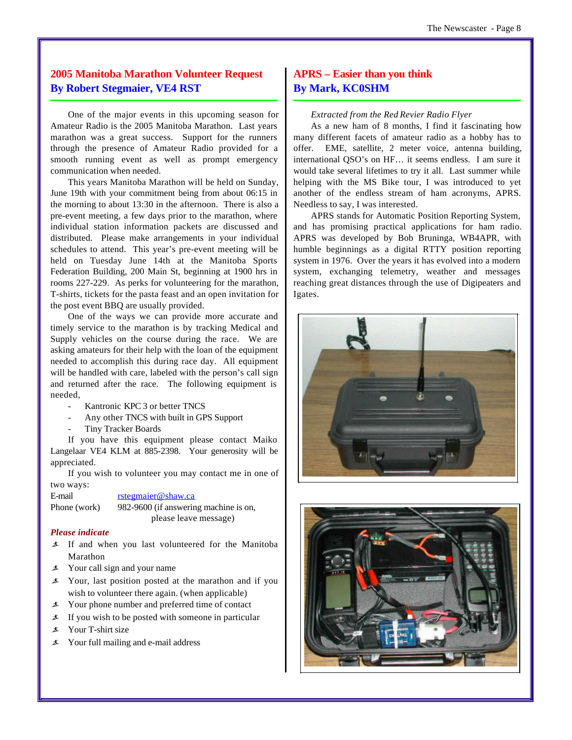## **2005 Manitoba Marathon Volunteer Request By Robert Stegmaier, VE4 RST**

One of the major events in this upcoming season for Amateur Radio is the 2005 Manitoba Marathon. Last years marathon was a great success. Support for the runners through the presence of Amateur Radio provided for a smooth running event as well as prompt emergency communication when needed.

This years Manitoba Marathon will be held on Sunday, June 19th with your commitment being from about 06:15 in the morning to about 13:30 in the afternoon. There is also a pre-event meeting, a few days prior to the marathon, where individual station information packets are discussed and distributed. Please make arrangements in your individual schedules to attend. This year's pre-event meeting will be held on Tuesday June 14th at the Manitoba Sports Federation Building, 200 Main St, beginning at 1900 hrs in rooms 227-229. As perks for volunteering for the marathon, T-shirts, tickets for the pasta feast and an open invitation for the post event BBQ are usually provided.

One of the ways we can provide more accurate and timely service to the marathon is by tracking Medical and Supply vehicles on the course during the race. We are asking amateurs for their help with the loan of the equipment needed to accomplish this during race day. All equipment will be handled with care, labeled with the person's call sign and returned after the race. The following equipment is needed,

- Kantronic KPC 3 or better TNCS
- Any other TNCS with built in GPS Support
- Tiny Tracker Boards

If you have this equipment please contact Maiko Langelaar VE4 KLM at 885-2398. Your generosity will be appreciated.

If you wish to volunteer you may contact me in one of two ways:

E-mail rstegmaier@shaw.ca

Phone (work) 982-9600 (if answering machine is on, please leave message)

#### *Please indicate*

- ã If and when you last volunteered for the Manitoba Marathon
- $\angle$  Your call sign and your name
- $\pm$  Your, last position posted at the marathon and if you wish to volunteer there again. (when applicable)
- $\angle$  Your phone number and preferred time of contact
- $\angle$  If you wish to be posted with someone in particular
- ã Your T-shirt size
- $\angle$  Your full mailing and e-mail address

## **APRS – Easier than you think By Mark, KC0SHM**

#### *Extracted from the Red Revier Radio Flyer*

As a new ham of 8 months, I find it fascinating how many different facets of amateur radio as a hobby has to offer. EME, satellite, 2 meter voice, antenna building, international QSO's on HF… it seems endless. I am sure it would take several lifetimes to try it all. Last summer while helping with the MS Bike tour, I was introduced to yet another of the endless stream of ham acronyms, APRS. Needless to say, I was interested.

APRS stands for Automatic Position Reporting System, and has promising practical applications for ham radio. APRS was developed by Bob Bruninga, WB4APR, with humble beginnings as a digital RTTY position reporting system in 1976. Over the years it has evolved into a modern system, exchanging telemetry, weather and messages reaching great distances through the use of Digipeaters and Igates.



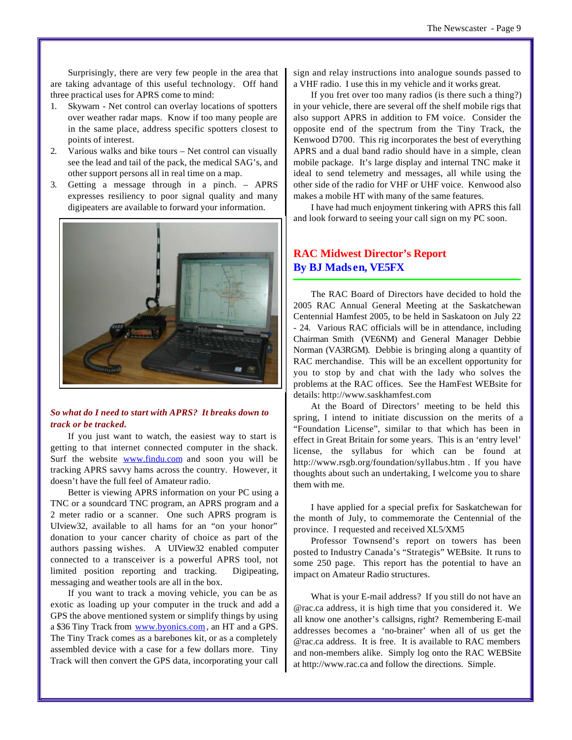Surprisingly, there are very few people in the area that are taking advantage of this useful technology. Off hand three practical uses for APRS come to mind:

- 1. Skywarn Net control can overlay locations of spotters over weather radar maps. Know if too many people are in the same place, address specific spotters closest to points of interest.
- 2. Various walks and bike tours Net control can visually see the lead and tail of the pack, the medical SAG's, and other support persons all in real time on a map.
- 3. Getting a message through in a pinch. APRS expresses resiliency to poor signal quality and many digipeaters are available to forward your information.

![](_page_8_Picture_5.jpeg)

## *So what do I need to start with APRS? It breaks down to track or be tracked.*

If you just want to watch, the easiest way to start is getting to that internet connected computer in the shack. Surf the website **www.findu.com** and soon you will be tracking APRS savvy hams across the country. However, it doesn't have the full feel of Amateur radio.

Better is viewing APRS information on your PC using a TNC or a soundcard TNC program, an APRS program and a 2 meter radio or a scanner. One such APRS program is UIview32, available to all hams for an "on your honor" donation to your cancer charity of choice as part of the authors passing wishes. A UIView32 enabled computer connected to a transceiver is a powerful APRS tool, not limited position reporting and tracking. Digipeating, messaging and weather tools are all in the box.

If you want to track a moving vehicle, you can be as exotic as loading up your computer in the truck and add a GPS the above mentioned system or simplify things by using a \$36 Tiny Track from www.byonics.com , an HT and a GPS. The Tiny Track comes as a barebones kit, or as a completely assembled device with a case for a few dollars more. Tiny Track will then convert the GPS data, incorporating your call

sign and relay instructions into analogue sounds passed to a VHF radio. I use this in my vehicle and it works great.

If you fret over too many radios (is there such a thing?) in your vehicle, there are several off the shelf mobile rigs that also support APRS in addition to FM voice. Consider the opposite end of the spectrum from the Tiny Track, the Kenwood D700. This rig incorporates the best of everything APRS and a dual band radio should have in a simple, clean mobile package. It's large display and internal TNC make it ideal to send telemetry and messages, all while using the other side of the radio for VHF or UHF voice. Kenwood also makes a mobile HT with many of the same features.

I have had much enjoyment tinkering with APRS this fall and look forward to seeing your call sign on my PC soon.

## **RAC Midwest Director's Report By BJ Mads en, VE5FX**

The RAC Board of Directors have decided to hold the 2005 RAC Annual General Meeting at the Saskatchewan Centennial Hamfest 2005, to be held in Saskatoon on July 22 - 24. Various RAC officials will be in attendance, including Chairman Smith (VE6NM) and General Manager Debbie Norman (VA3RGM). Debbie is bringing along a quantity of RAC merchandise. This will be an excellent opportunity for you to stop by and chat with the lady who solves the problems at the RAC offices. See the HamFest WEBsite for details:<http://www.saskhamfest.com>

At the Board of Directors' meeting to be held this spring, I intend to initiate discussion on the merits of a "Foundation License", similar to that which has been in effect in Great Britain for some years. This is an 'entry level' license, the syllabus for which can be found at <http://www.rsgb.org/foundation/syllabus.htm>. If you have thoughts about such an undertaking, I welcome you to share them with me.

I have applied for a special prefix for Saskatchewan for the month of July, to commemorate the Centennial of the province. I requested and received XL5/XM5

Professor Townsend's report on towers has been posted to Industry Canada's "Strategis" WEBsite. It runs to some 250 page. This report has the potential to have an impact on Amateur Radio structures.

What is your E-mail address? If you still do not have an @rac.ca address, it is high time that you considered it. We all know one another's callsigns, right? Remembering E-mail addresses becomes a 'no-brainer' when all of us get the @rac.ca address. It is free. It is available to RAC members and non-members alike. Simply log onto the RAC WEBSite at <http://www.rac.ca> and follow the directions. Simple.